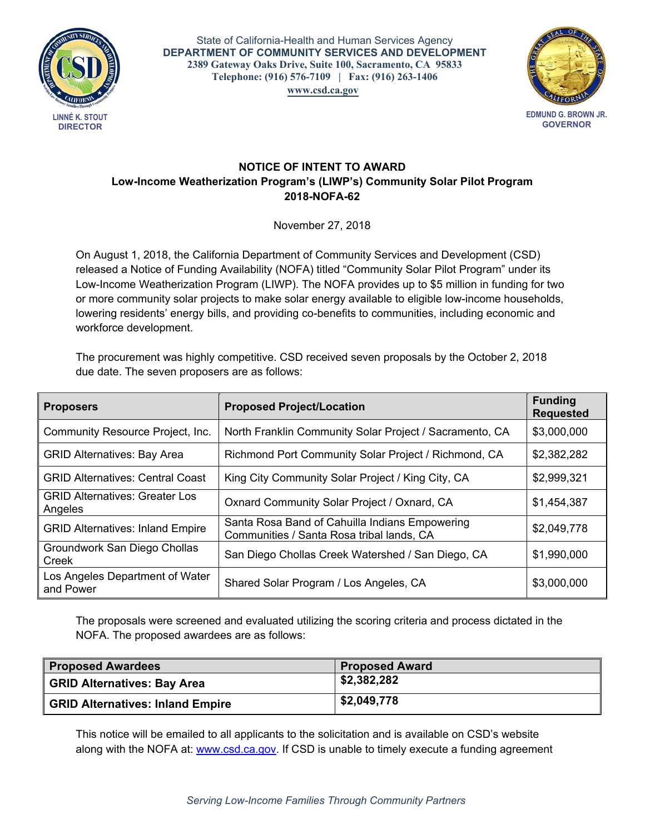

 **Telephone: (916) 576-7109 | Fax: (916) 263-1406**  State of California-Health and Human Services Agency **DEPARTMENT OF COMMUNITY SERVICES AND DEVELOPMENT 2389 Gateway Oaks Drive, Suite 100, Sacramento, CA 95833 [www.csd.ca.gov](http://www.csd.ca.gov)**



**EDMUND G. BROWN JR. GOVERNOR**

## **NOTICE OF INTENT TO AWARD Low-Income Weatherization Program's (LIWP's) Community Solar Pilot Program 2018-NOFA-62**

November 27, 2018

On August 1, 2018, the California Department of Community Services and Development (CSD) released a Notice of Funding Availability (NOFA) titled "Community Solar Pilot Program" under its Low-Income Weatherization Program (LIWP). The NOFA provides up to \$5 million in funding for two or more community solar projects to make solar energy available to eligible low-income households, lowering residents' energy bills, and providing co-benefits to communities, including economic and workforce development.

The procurement was highly competitive. CSD received seven proposals by the October 2, 2018 due date. The seven proposers are as follows:

| <b>Proposers</b>                                 | <b>Proposed Project/Location</b>                                                            | <b>Funding</b><br><b>Requested</b> |
|--------------------------------------------------|---------------------------------------------------------------------------------------------|------------------------------------|
| Community Resource Project, Inc.                 | North Franklin Community Solar Project / Sacramento, CA                                     | \$3,000,000                        |
| <b>GRID Alternatives: Bay Area</b>               | Richmond Port Community Solar Project / Richmond, CA                                        | \$2,382,282                        |
| <b>GRID Alternatives: Central Coast</b>          | King City Community Solar Project / King City, CA                                           | \$2,999,321                        |
| <b>GRID Alternatives: Greater Los</b><br>Angeles | Oxnard Community Solar Project / Oxnard, CA                                                 | \$1,454,387                        |
| <b>GRID Alternatives: Inland Empire</b>          | Santa Rosa Band of Cahuilla Indians Empowering<br>Communities / Santa Rosa tribal lands, CA | \$2,049,778                        |
| Groundwork San Diego Chollas<br>Creek            | San Diego Chollas Creek Watershed / San Diego, CA                                           | \$1,990,000                        |
| Los Angeles Department of Water<br>and Power     | Shared Solar Program / Los Angeles, CA                                                      | \$3,000,000                        |

The proposals were screened and evaluated utilizing the scoring criteria and process dictated in the NOFA. The proposed awardees are as follows:

| Proposed Awardees                | <b>Proposed Award</b> |
|----------------------------------|-----------------------|
| GRID Alternatives: Bay Area      | \$2,382,282           |
| GRID Alternatives: Inland Empire | \$2,049,778           |

This notice will be emailed to all applicants to the solicitation and is available on CSD's website along with the NOFA at: [www.csd.ca.gov](http://www.csd.ca.gov). If CSD is unable to timely execute a funding agreement